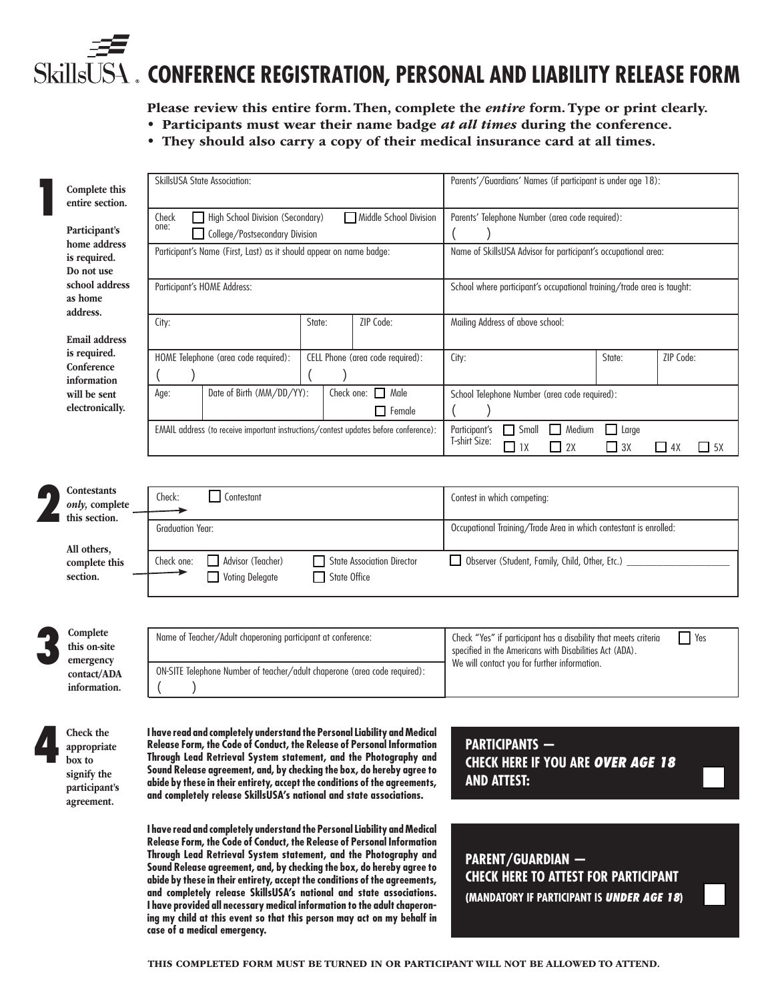# **CONFERENCE REGISTRATION, PERSONAL AND LIABILITY RELEASE FORM**

Please review this entire form. Then, complete the *entire* form. Type or print clearly.

- Participants must wear their name badge *at all times* during the conference.
	- They should also carry a copy of their medical insurance card at all times.

|  | Complete this<br>entire section.                                                                     | <b>SkillsUSA State Association:</b>                                                                                                                                                                                                                                                                                                                                                                                                                  |                                         | Parents'/Guardians' Names (if participant is under age 18):                                                                                                                       |                                                 |
|--|------------------------------------------------------------------------------------------------------|------------------------------------------------------------------------------------------------------------------------------------------------------------------------------------------------------------------------------------------------------------------------------------------------------------------------------------------------------------------------------------------------------------------------------------------------------|-----------------------------------------|-----------------------------------------------------------------------------------------------------------------------------------------------------------------------------------|-------------------------------------------------|
|  | Participant's<br>home address<br>is required.<br>Do not use<br>school address<br>as home<br>address. | Middle School Division<br>High School Division (Secondary)<br>Check<br>one:<br>College/Postsecondary Division                                                                                                                                                                                                                                                                                                                                        |                                         | Parents' Telephone Number (area code required):                                                                                                                                   |                                                 |
|  |                                                                                                      | Participant's Name (First, Last) as it should appear on name badge:                                                                                                                                                                                                                                                                                                                                                                                  |                                         | Name of SkillsUSA Advisor for participant's occupational area:                                                                                                                    |                                                 |
|  |                                                                                                      | Participant's HOME Address:                                                                                                                                                                                                                                                                                                                                                                                                                          |                                         | School where participant's occupational training/trade area is taught:                                                                                                            |                                                 |
|  | <b>Email address</b>                                                                                 | City:<br>State:                                                                                                                                                                                                                                                                                                                                                                                                                                      | ZIP Code:                               | Mailing Address of above school:                                                                                                                                                  |                                                 |
|  | is required.<br>Conference<br>information                                                            | HOME Telephone (area code required):                                                                                                                                                                                                                                                                                                                                                                                                                 | CELL Phone (area code required):        | City:                                                                                                                                                                             | ZIP Code:<br>State:                             |
|  | will be sent<br>electronically.                                                                      | Date of Birth (MM/DD/YY):<br>Age:                                                                                                                                                                                                                                                                                                                                                                                                                    | Check one: $\Box$ Male<br>$\Box$ Female | School Telephone Number (area code required):                                                                                                                                     |                                                 |
|  |                                                                                                      | EMAIL address (to receive important instructions/contest updates before conference):                                                                                                                                                                                                                                                                                                                                                                 |                                         | $\Box$ Medium<br>Participant's<br>$\Box$ Small<br>T-shirt Size:<br>$\Box$ 1X<br>$\Box$ 2X                                                                                         | $\Box$ Large<br>$\Box$ 3X<br>$-4X$<br>$\Box$ 5X |
|  |                                                                                                      |                                                                                                                                                                                                                                                                                                                                                                                                                                                      |                                         |                                                                                                                                                                                   |                                                 |
|  | <b>Contestants</b><br>only, complete<br>this section.<br>All others,                                 | Contestant<br>Check:                                                                                                                                                                                                                                                                                                                                                                                                                                 |                                         | Contest in which competing:                                                                                                                                                       |                                                 |
|  |                                                                                                      | <b>Graduation Year:</b>                                                                                                                                                                                                                                                                                                                                                                                                                              |                                         | Occupational Training/Trade Area in which contestant is enrolled:                                                                                                                 |                                                 |
|  | complete this<br>section.                                                                            | Advisor (Teacher)<br>Check one:<br><b>State Association Director</b><br>State Office<br><b>Voting Delegate</b>                                                                                                                                                                                                                                                                                                                                       |                                         | Observer (Student, Family, Child, Other, Etc.) _                                                                                                                                  |                                                 |
|  |                                                                                                      |                                                                                                                                                                                                                                                                                                                                                                                                                                                      |                                         |                                                                                                                                                                                   |                                                 |
|  | Complete<br>this on-site<br>emergency                                                                | Name of Teacher/Adult chaperoning participant at conference:                                                                                                                                                                                                                                                                                                                                                                                         |                                         | Check "Yes" if participant has a disability that meets criteria<br>Yes<br>specified in the Americans with Disabilities Act (ADA).<br>We will contact you for further information. |                                                 |
|  | contact/ADA<br>information.                                                                          | ON-SITE Telephone Number of teacher/adult chaperone (area code required):                                                                                                                                                                                                                                                                                                                                                                            |                                         |                                                                                                                                                                                   |                                                 |
|  |                                                                                                      |                                                                                                                                                                                                                                                                                                                                                                                                                                                      |                                         |                                                                                                                                                                                   |                                                 |
|  | Check the<br>appropriate<br>box to<br>signify the<br>participant's<br>agreement.                     | I have read and completely understand the Personal Liability and Medical<br>Release Form, the Code of Conduct, the Release of Personal Information<br>Through Lead Retrieval System statement, and the Photography and<br>Sound Release agreement, and, by checking the box, do hereby agree to<br>abide by these in their entirety, accept the conditions of the agreements,<br>and completely release SkillsUSA's national and state associations. |                                         | <b>PARTICIPANTS -</b><br><b>CHECK HERE IF YOU ARE OVER AGE 18</b><br><b>AND ATTEST:</b>                                                                                           |                                                 |

**I have read and completely understand the Personal Liability and Medical Release Form, the Code of Conduct, the Release of Personal Information Through Lead Retrieval System statement, and the Photography and Sound Release agreement, and, by checking the box, do hereby agree to abide by these in their entirety, accept the conditions of the agreements, and completely release SkillsUSA's national and state associations. I have provided all necessary medical information to the adult chaperoning my child at this event so that this person may act on my behalf in case of a medical emergency.**

**PARENT/GUARDIAN — CHECK HERE TO ATTEST FOR PARTICIPANT (MANDATORY IF PARTICIPANT IS UNDER AGE 18)**